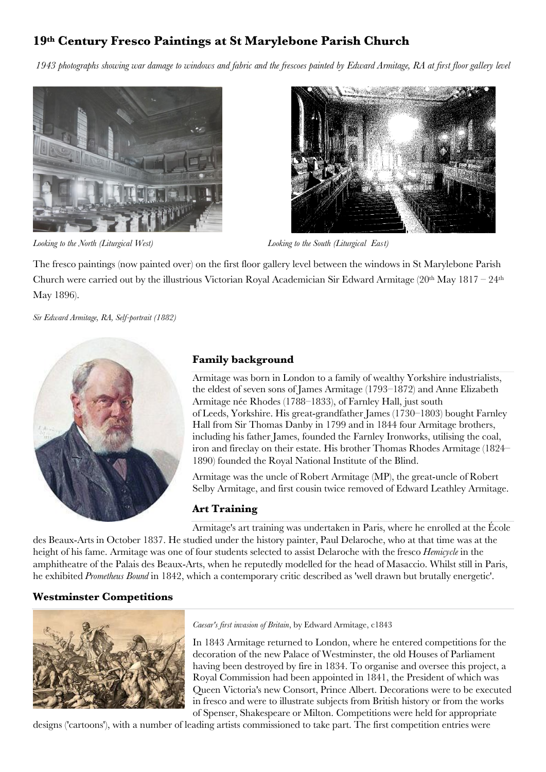## **19th Century Fresco Paintings at St Marylebone Parish Church**

*1943 photographs showing war damage to windows and fabric and the frescoes painted by Edward Armitage, RA at first floor gallery level*





*Looking to the North (Liturgical West) Looking to the South (Liturgical East)* 

The fresco paintings (now painted over) on the first floor gallery level between the windows in St Marylebone Parish Church were carried out by the illustrious Victorian Royal Academician Sir Edward Armitage  $(20<sup>th</sup>$  May  $1817 - 24<sup>th</sup>$ May 1896).

*Sir Edward Armitage, RA, Self-portrait (1882)*



### **Family background**

Armitage was born in London to a family of wealthy Yorkshire industrialists, the eldest of seven sons of James Armitage (1793–1872) and Anne Elizabeth Armitage née Rhodes (1788–1833), of [Farnley](http://en.m.wikipedia.org/wiki/Farnley_Hall_(West_Yorkshire)) Hall, just south of [Leeds,](http://en.m.wikipedia.org/wiki/Leeds) [Yorkshire.](http://en.m.wikipedia.org/wiki/Yorkshire) His great-grandfather James (1730–1803) bought Farnley Hall from Sir Thomas Danby in 1799 and in 1844 four Armitage brothers, including his father James, founded the Farnley Ironworks, utilising the coal, iron and fireclay on their estate. His brother Thomas Rhodes [Armitage](http://en.m.wikipedia.org/wiki/Thomas_Armitage) (1824– 1890) founded the Royal [National](http://en.m.wikipedia.org/wiki/Royal_National_Institute_of_the_Blind) Institute of the Blind.

Armitage was the uncle of Robert [Armitage](http://en.m.wikipedia.org/wiki/Robert_Armitage_(MP)) (MP), the great-uncle of [Robert](http://en.m.wikipedia.org/wiki/Robert_Selby_Armitage) Selby [Armitage,](http://en.m.wikipedia.org/wiki/Robert_Selby_Armitage) and first cousin twice removed of Edward Leathley [Armitage.](http://en.m.wikipedia.org/wiki/Edward_Armitage_(cricketer))

#### **Art Training**

Armitage's art training was undertaken in Paris, where he enrolled at the [École](http://en.m.wikipedia.org/wiki/%C3%89cole_nationale_sup%C3%A9rieure_des_Beaux-Arts) des [Beaux-Arts](http://en.m.wikipedia.org/wiki/%C3%89cole_nationale_sup%C3%A9rieure_des_Beaux-Arts) in October 1837. He studied under the history painter, Paul [Delaroche,](http://en.m.wikipedia.org/wiki/Paul_Delaroche) who at that time was at the height of his fame. Armitage was one of four students selected to assist Delaroche with the [fresco](http://en.m.wikipedia.org/wiki/Fresco) *Hemicycle* in the amphitheatre of the Palais des Beaux-Arts, when he reputedly modelled for the head of [Masaccio.](http://en.m.wikipedia.org/wiki/Masaccio) Whilst still in Paris, he exhibited *Prometheus Bound* in 1842, which a contemporary critic described as 'well drawn but brutally energetic'.

### **Westminster Competitions**



*[Caesar's](http://en.m.wikipedia.org/wiki/Caesar%27s_invasions_of_Britain) first invasion of Britain*, by Edward Armitage, c1843

In 1843 Armitage returned to London, where he entered competitions for the decoration of the new Palace of [Westminster,](http://en.m.wikipedia.org/wiki/Palace_of_Westminster#Frescoes) the old Houses of Parliament having been destroyed by fire in 1834. To organise and oversee this project, a Royal Commission had been appointed in 1841, the President of which was Queen [Victoria's](http://en.m.wikipedia.org/wiki/Queen_Victoria) new Consort, Prince [Albert.](http://en.m.wikipedia.org/wiki/Albert,_Prince_Consort) Decorations were to be executed in fresco and were to illustrate subjects from British history or from the works of [Spenser,](http://en.m.wikipedia.org/wiki/Edmund_Spenser) [Shakespeare](http://en.m.wikipedia.org/wiki/Shakespeare) or [Milton.](http://en.m.wikipedia.org/wiki/John_Milton) Competitions were held for appropriate

designs ('cartoons'), with a number of leading artists commissioned to take part. The first competition entries were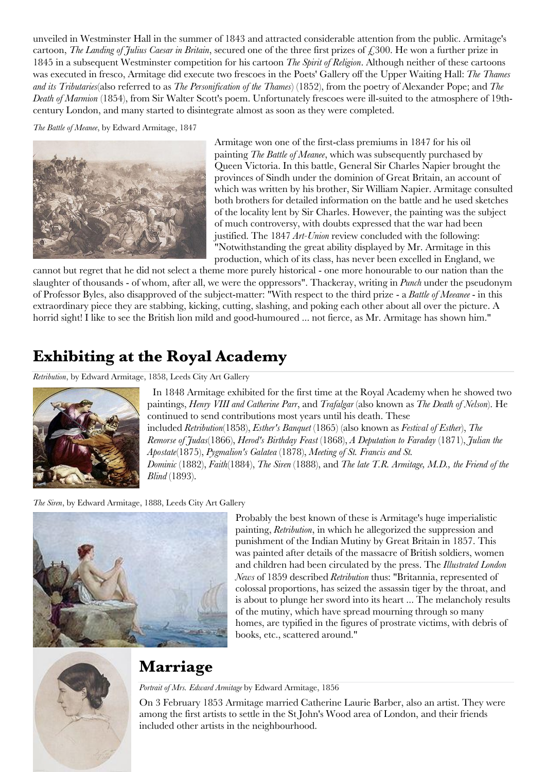unveiled in Westminster Hall in the summer of 1843 and attracted considerable attention from the public. Armitage's cartoon, *The Landing of Julius Caesar in Britain*, secured one of the three first prizes of  $\epsilon$ , 300. He won a further prize in 1845 in a subsequent Westminster competition for his cartoon *The Spirit of Religion*. Although neither of these cartoons was executed in fresco, Armitage did execute two frescoes in the Poets' Gallery off the Upper Waiting Hall: *The Thames and its Tributaries*(also referred to as *The Personification of the Thames*) (1852), from the poetry of [Alexander](http://en.m.wikipedia.org/wiki/Alexander_Pope) Pope; and *The Death of Marmion* (1854), from Sir [Walter](http://en.m.wikipedia.org/wiki/Sir_Walter_Scott) Scott's poem. Unfortunately frescoes were ill-suited to the atmosphere of 19thcentury London, and many started to disintegrate almost as soon as they were completed.

*The Battle of Meanee*, by Edward Armitage, 1847



Armitage won one of the first-class premiums in 1847 for his oil painting *The Battle of Meanee*, which was subsequently purchased by Queen Victoria. In this battle, General Sir Charles Napier brought the provinces of Sindh under the dominion of Great Britain, an account of which was written by his brother, Sir William Napier. Armitage consulted both brothers for detailed information on the battle and he used sketches of the locality lent by Sir Charles. However, the painting was the subject of much controversy, with doubts expressed that the war had been justified. The 1847 *Art-Union* review concluded with the following: "Notwithstanding the great ability displayed by Mr. Armitage in this production, which of its class, has never been excelled in England, we

cannot but regret that he did not select a theme more purely historical - one more honourable to our nation than the slaughter of thousands - of whom, after all, we were the oppressors". Thackeray, writing in *Punch* under the pseudonym of Professor Byles, also disapproved of the subject-matter: "With respect to the third prize - a *Battle of Meeanee* - in this extraordinary piece they are stabbing, kicking, cutting, slashing, and poking each other about all over the picture. A horrid sight! I like to see the British lion mild and good-humoured ... not fierce, as Mr. Armitage has shown him."

## **Exhibiting at the Royal Academy**

*Retribution*, by Edward Armitage, 1858, Leeds City Art Gallery



 In 1848 Armitage exhibited for the first time at the Royal [Academy](http://en.m.wikipedia.org/wiki/Royal_Academy) when he showed two paintings, *[Henry](http://en.m.wikipedia.org/wiki/Henry_VIII_of_England) VIII and [Catherine](http://en.m.wikipedia.org/wiki/Catherine_Parr) Parr*, and *Trafalgar* (also known as *The Death of Nelson*). He continued to send contributions most years until his death. These included *Retribution*(1858), *Esther's Banquet* (1865) (also known as *Festival of Esther*), *The Remorse of Judas*(1866), *Herod's Birthday Feast* (1868), *A Deputation to Faraday* (1871), *Julian the Apostate*(1875), *Pygmalion's Galatea* (1878), *Meeting of St. Francis and St. Dominic* (1882), *Faith*(1884), *The Siren* (1888), and *The late T.R. Armitage, M.D., the Friend of the Blind* (1893).

*The Siren*, by Edward Armitage, 1888, Leeds City Art Gallery



Probably the best known of these is Armitage's huge imperialistic painting, *Retribution*, in which he allegorized the suppression and punishment of the Indian Mutiny by Great Britain in 1857. This was painted after details of the massacre of British soldiers, women and children had been circulated by the press. The *Illustrated London News* of 1859 described *Retribution* thus: "Britannia, represented of colossal proportions, has seized the assassin tiger by the throat, and is about to plunge her sword into its heart ... The melancholy results of the mutiny, which have spread mourning through so many homes, are typified in the figures of prostrate victims, with debris of books, etc., scattered around."



## **Marriage**

#### *Portrait of Mrs. Edward Armitage* by Edward Armitage, 1856

On 3 February 1853 Armitage married Catherine Laurie Barber, also an artist. They were among the first artists to settle in the St John's Wood area of London, and their friends included other artists in the neighbourhood.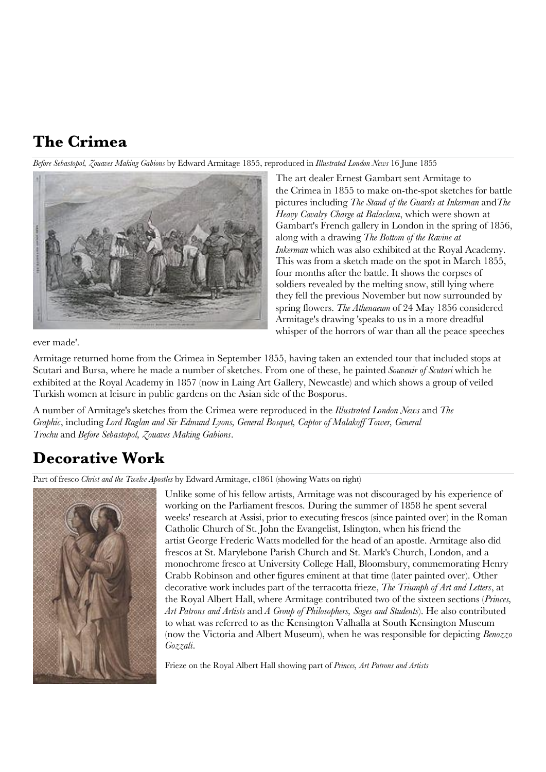# **The Crimea**

*Before Sebastopol, Zouaves Making Gabions* by Edward Armitage 1855, reproduced in *Illustrated London News* 16 June 1855



The art dealer Ernest [Gambart](http://en.m.wikipedia.org/wiki/Ernest_Gambart) sent Armitage to the [Crimea](http://en.m.wikipedia.org/wiki/Crimea) in 1855 to make on-the-spot sketches for battle pictures including *The Stand of the Guards at Inkerman* and*The Heavy Cavalry Charge at Balaclava*, which were shown at Gambart's French gallery in London in the spring of 1856, along with a drawing *The Bottom of the Ravine at Inkerman* which was also exhibited at the Royal Academy. This was from a sketch made on the spot in March 1855, four months after the battle. It shows the corpses of soldiers revealed by the melting snow, still lying where they fell the previous November but now surrounded by spring flowers. *The Athenaeum* of 24 May 1856 considered Armitage's drawing 'speaks to us in a more dreadful whisper of the horrors of war than all the peace speeches

ever made'.

Armitage returned home from the Crimea in September 1855, having taken an extended tour that included stops at Scutari and Bursa, where he made a number of sketches. From one of these, he painted *Souvenir of Scutari* which he exhibited at the Royal Academy in 1857 (now in Laing Art [Gallery,](http://en.m.wikipedia.org/wiki/Laing_Art_Gallery) Newcastle) and which shows a group of veiled Turkish women at leisure in public gardens on the Asian side of the Bosporus.

A number of Armitage's sketches from the Crimea were reproduced in the *Illustrated London News* and *The Graphic*, including *Lord Raglan and Sir Edmund Lyons, General Bosquet, Captor of Malakoff Tower, General Trochu* and *Before Sebastopol, Zouaves Making Gabions*.

## **Decorative Work**

Part of fresco *Christ and the Twelve Apostles* by Edward Armitage, c1861 (showing Watts on right)



Unlike some of his fellow artists, Armitage was not discouraged by his experience of working on the Parliament frescos. During the summer of 1858 he spent several weeks' research at Assisi, prior to executing frescos (since painted over) in the Roman Catholic Church of St. John the Evangelist, Islington, when his friend the artist George [Frederic](http://en.m.wikipedia.org/wiki/George_Frederic_Watts) Watts modelled for the head of an apostle. Armitage also did frescos at St. Marylebone Parish Church and St. Mark's Church, London, and a monochrome fresco at University College Hall, Bloomsbury, commemorating [Henry](http://en.m.wikipedia.org/wiki/Henry_Crabb_Robinson) Crabb [Robinson](http://en.m.wikipedia.org/wiki/Henry_Crabb_Robinson) and other figures eminent at that time (later painted over). Other decorative work includes part of the terracotta frieze, *The Triumph of Art and Letters*, at the Royal Albert Hall, where Armitage contributed two of the sixteen sections (*Princes, Art Patrons and Artists* and *A Group of Philosophers, Sages and Students*). He also contributed to what was referred to as the Kensington Valhalla at South Kensington Museum (now the Victoria and Albert Museum), when he was responsible for depicting *Benozzo Gozzali*.

Frieze on the Royal Albert Hall showing part of *Princes, Art Patrons and Artists*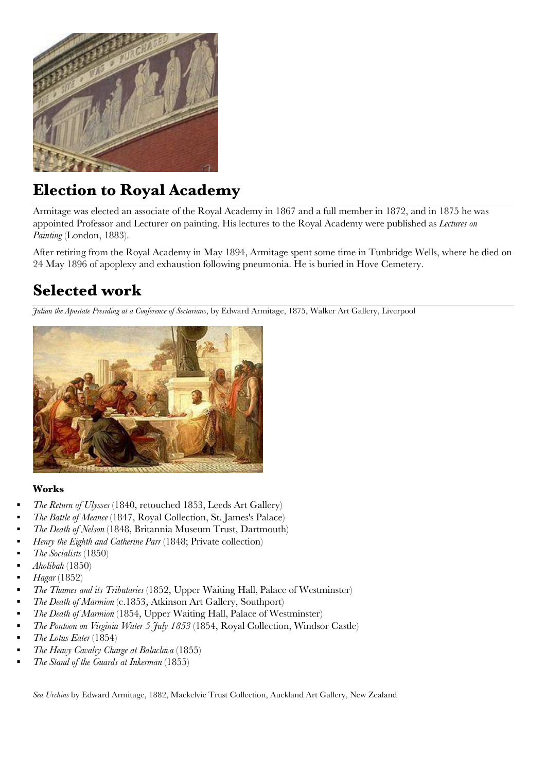

# **Election to Royal Academy**

Armitage was elected an associate of the Royal Academy in 1867 and a full member in 1872, and in 1875 he was appointed Professor and Lecturer on painting. His lectures to the Royal Academy were published as *Lectures on Painting* (London, 1883).

After retiring from the Royal Academy in May 1894, Armitage spent some time in Tunbridge Wells, where he died on 24 May 1896 of apoplexy and exhaustion following pneumonia. He is buried in Hove Cemetery.

# **Selected work**

*Julian the Apostate Presiding at a Conference of Sectarians*, by Edward Armitage, 1875, Walker Art Gallery, Liverpool



#### **Works**

- *The Return of Ulysses* (1840, retouched 1853, Leeds Art [Gallery\)](http://en.m.wikipedia.org/wiki/Leeds_Art_Gallery)
- *The Battle of Meanee* (1847, Royal Collection, St. James's Palace)
- *The Death of Nelson* (1848, Britannia Museum Trust, Dartmouth)
- *Henry the Eighth and Catherine Parr* (1848; Private collection)
- *The Socialists* (1850)
- *Aholibah* (1850)
- *Hagar* (1852)
- *The Thames and its Tributaries* (1852, Upper Waiting Hall, Palace of [Westminster\)](http://en.m.wikipedia.org/wiki/Palace_of_Westminster)
- *The Death of Marmion* (c.1853, Atkinson Art Gallery, Southport)
- *The Death of Marmion* (1854, Upper Waiting Hall, Palace of [Westminster\)](http://en.m.wikipedia.org/wiki/Palace_of_Westminster)
- *The Pontoon on Virginia Water 5 July 1853* (1854, Royal Collection, Windsor Castle)
- *The Lotus Eater* (1854)
- *The Heavy Cavalry Charge at Balaclava* (1855)
- *The Stand of the Guards at Inkerman* (1855)

*Sea Urchins* by Edward Armitage, 1882, Mackelvie Trust Collection, Auckland Art Gallery, New Zealand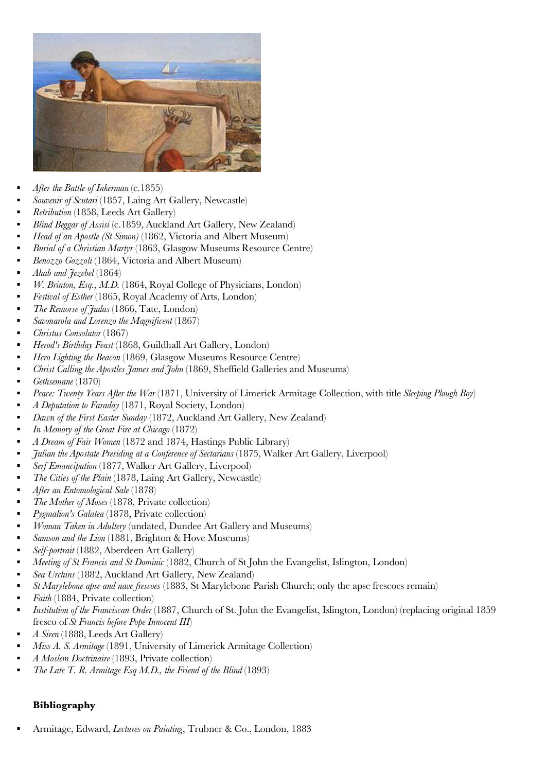

- *After the Battle of Inkerman* (c.1855)
- *Souvenir of Scutari* (1857, Laing Art [Gallery,](http://en.m.wikipedia.org/wiki/Laing_Art_Gallery) Newcastle)
- *Retribution* (1858, Leeds Art [Gallery\)](http://en.m.wikipedia.org/wiki/Leeds_Art_Gallery)
- *Blind Beggar of Assisi* (c.1859, [Auckland](http://en.m.wikipedia.org/wiki/Auckland_Art_Gallery) Art Gallery, New Zealand)
- *Head of an Apostle (St Simon)* (1862, Victoria and Albert [Museum\)](http://en.m.wikipedia.org/wiki/Victoria_and_Albert_Museum)
- *Burial of a Christian Martyr* (1863, Glasgow Museums Resource Centre)
- *[Benozzo](http://en.m.wikipedia.org/wiki/Benozzo_Gozzoli) Gozzoli* (1864, Victoria and Albert [Museum\)](http://en.m.wikipedia.org/wiki/Victoria_and_Albert_Museum)
- *Ahab and Jezebel* (1864)
- *W. Brinton, Esq., M.D.* (1864, Royal College of [Physicians,](http://en.m.wikipedia.org/wiki/Royal_College_of_Physicians) London)
- *Festival of Esther* (1865, Royal [Academy](http://en.m.wikipedia.org/wiki/Royal_Academy_of_Arts,_London) of Arts, London)
- *The Remorse of [Judas](http://en.m.wikipedia.org/wiki/Judas_Iscariot)* (1866, [Tate,](http://en.m.wikipedia.org/wiki/Tate) London)
- *Savonarola and Lorenzo the Magnificent* (1867)
- *Christus Consolator* (1867)
- *Herod's Birthday Feast* (1868, [Guildhall](http://en.m.wikipedia.org/wiki/Guildhall_Art_Gallery) Art Gallery, London)
- *Hero Lighting the Beacon* (1869, Glasgow Museums Resource Centre)
- *Christ Calling the Apostles James and John* (1869, Sheffield Galleries and Museums)
- *Gethsemane* (1870)
- *Peace: Twenty Years After the War* (1871, University of Limerick Armitage Collection, with title *Sleeping Plough Boy*)
- *A Deputation to Faraday* (1871, Royal [Society,](http://en.m.wikipedia.org/wiki/Royal_Society) London)
- *Dawn of the First Easter Sunday* (1872, [Auckland](http://en.m.wikipedia.org/wiki/Auckland_Art_Gallery) Art Gallery, New Zealand)
- *In Memory of the Great Fire at Chicago* (1872)
- *A Dream of Fair Women* (1872 and 1874, Hastings Public Library)
- *Julian the Apostate Presiding at a Conference of Sectarians* (1875, Walker Art Gallery, [Liverpool\)](http://en.m.wikipedia.org/wiki/Walker_Art_Gallery,_Liverpool)
- *Serf Emancipation* (1877, Walker Art Gallery, [Liverpool\)](http://en.m.wikipedia.org/wiki/Walker_Art_Gallery,_Liverpool)
- *The Cities of the Plain* (1878, Laing Art [Gallery,](http://en.m.wikipedia.org/wiki/Laing_Art_Gallery) Newcastle)
- *After an Entomological Sale* (1878)
- *The Mother of Moses* (1878, Private collection)
- *Pygmalion's Galatea* (1878, Private collection)
- *Woman Taken in Adultery* (undated, Dundee Art Gallery and Museums)
- *Samson and the Lion* (1881, Brighton & Hove Museums)
- *Self-portrait* (1882, [Aberdeen](http://en.m.wikipedia.org/wiki/Aberdeen_Art_Gallery) Art Gallery)
- *Meeting of St Francis and St Dominic* (1882, Church of St John the Evangelist, Islington, London)
- *Sea Urchins* (1882, [Auckland](http://en.m.wikipedia.org/wiki/Auckland_Art_Gallery) Art Gallery, New Zealand)
- *St Marylebone apse and nave frescoes* (1883, St Marylebone Parish Church; only the apse frescoes remain)
- *Faith* (1884, Private collection)
- *Institution of the Franciscan Order* (1887, Church of St. John the Evangelist, Islington, London) (replacing original 1859 fresco of *St Francis before Pope Innocent III*)
- *A Siren* (1888, Leeds Art [Gallery\)](http://en.m.wikipedia.org/wiki/Leeds_Art_Gallery)
- *Miss A. S. Armitage* (1891, University of Limerick Armitage Collection)
- *A Moslem Doctrinaire* (1893, Private collection)
- *The Late T. R. Armitage Esq M.D., the Friend of the Blind* (1893)

### **Bibliography**

Armitage, Edward, *Lectures on Painting*, Trubner & Co., London, 1883